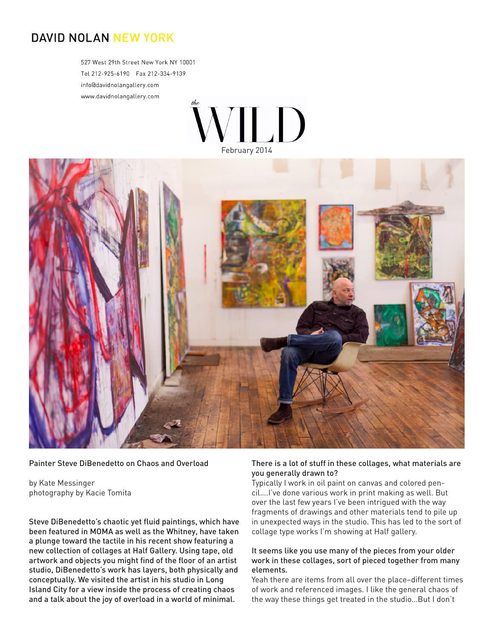# **DAVID NOLAN NEW YORK**

527 West 29th Street New York NY 10001 info@davidnolangallery.com www.davidnolangallery.com





#### Painter Steve DiBenedetto on Chaos and Overload

by Kate Messinger photography by Kacie Tomita

Steve DiBenedetto's chaotic yet fluid paintings, which have been featured in MOMA as well as the Whitney, have taken a plunge toward the tactile in his recent show featuring a new collection of collages at Half Gallery. Using tape, old artwork and objects you might find of the floor of an artist studio, DiBenedetto's work has layers, both physically and conceptually. We visited the artist in his studio in Long Island City for a view inside the process of creating chaos and a talk about the joy of overload in a world of minimal.

#### There is a lot of stuff in these collages, what materials are you generally drawn to?

Typically I work in oil paint on canvas and colored pencil….I've done various work in print making as well. But over the last few years I've been intrigued with the way fragments of drawings and other materials tend to pile up in unexpected ways in the studio. This has led to the sort of collage type works I'm showing at Half gallery.

#### It seems like you use many of the pieces from your older work in these collages, sort of pieced together from many elements.

Yeah there are items from all over the place–different times of work and referenced images. I like the general chaos of the way these things get treated in the studio…But I don't